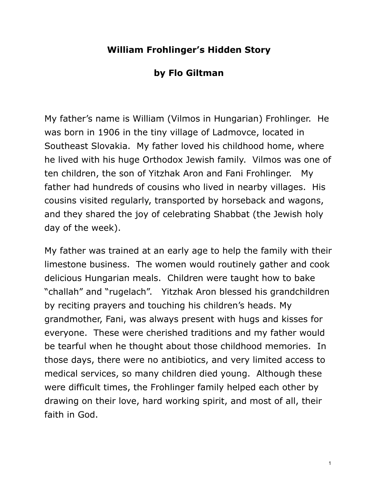## **William Frohlinger's Hidden Story**

## **by Flo Giltman**

My father's name is William (Vilmos in Hungarian) Frohlinger. He was born in 1906 in the tiny village of Ladmovce, located in Southeast Slovakia. My father loved his childhood home, where he lived with his huge Orthodox Jewish family. Vilmos was one of ten children, the son of Yitzhak Aron and Fani Frohlinger. My father had hundreds of cousins who lived in nearby villages. His cousins visited regularly, transported by horseback and wagons, and they shared the joy of celebrating Shabbat (the Jewish holy day of the week).

My father was trained at an early age to help the family with their limestone business. The women would routinely gather and cook delicious Hungarian meals. Children were taught how to bake "challah" and "rugelach". Yitzhak Aron blessed his grandchildren by reciting prayers and touching his children's heads. My grandmother, Fani, was always present with hugs and kisses for everyone. These were cherished traditions and my father would be tearful when he thought about those childhood memories. In those days, there were no antibiotics, and very limited access to medical services, so many children died young. Although these were difficult times, the Frohlinger family helped each other by drawing on their love, hard working spirit, and most of all, their faith in God.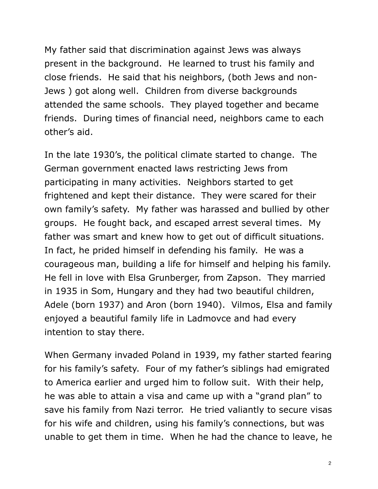My father said that discrimination against Jews was always present in the background. He learned to trust his family and close friends. He said that his neighbors, (both Jews and non-Jews ) got along well. Children from diverse backgrounds attended the same schools. They played together and became friends. During times of financial need, neighbors came to each other's aid.

In the late 1930's, the political climate started to change. The German government enacted laws restricting Jews from participating in many activities. Neighbors started to get frightened and kept their distance. They were scared for their own family's safety. My father was harassed and bullied by other groups. He fought back, and escaped arrest several times. My father was smart and knew how to get out of difficult situations. In fact, he prided himself in defending his family. He was a courageous man, building a life for himself and helping his family. He fell in love with Elsa Grunberger, from Zapson. They married in 1935 in Som, Hungary and they had two beautiful children, Adele (born 1937) and Aron (born 1940). Vilmos, Elsa and family enjoyed a beautiful family life in Ladmovce and had every intention to stay there.

When Germany invaded Poland in 1939, my father started fearing for his family's safety. Four of my father's siblings had emigrated to America earlier and urged him to follow suit. With their help, he was able to attain a visa and came up with a "grand plan" to save his family from Nazi terror. He tried valiantly to secure visas for his wife and children, using his family's connections, but was unable to get them in time. When he had the chance to leave, he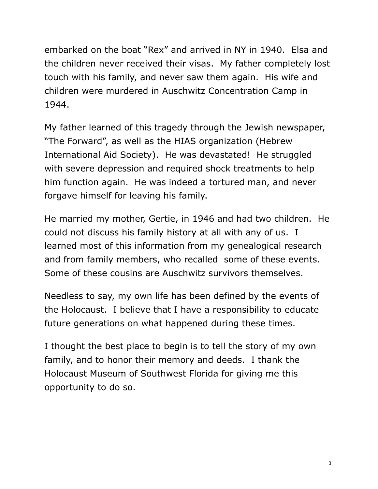embarked on the boat "Rex" and arrived in NY in 1940. Elsa and the children never received their visas. My father completely lost touch with his family, and never saw them again. His wife and children were murdered in Auschwitz Concentration Camp in 1944.

My father learned of this tragedy through the Jewish newspaper, "The Forward", as well as the HIAS organization (Hebrew International Aid Society). He was devastated! He struggled with severe depression and required shock treatments to help him function again. He was indeed a tortured man, and never forgave himself for leaving his family.

He married my mother, Gertie, in 1946 and had two children. He could not discuss his family history at all with any of us. I learned most of this information from my genealogical research and from family members, who recalled some of these events. Some of these cousins are Auschwitz survivors themselves.

Needless to say, my own life has been defined by the events of the Holocaust. I believe that I have a responsibility to educate future generations on what happened during these times.

I thought the best place to begin is to tell the story of my own family, and to honor their memory and deeds. I thank the Holocaust Museum of Southwest Florida for giving me this opportunity to do so.